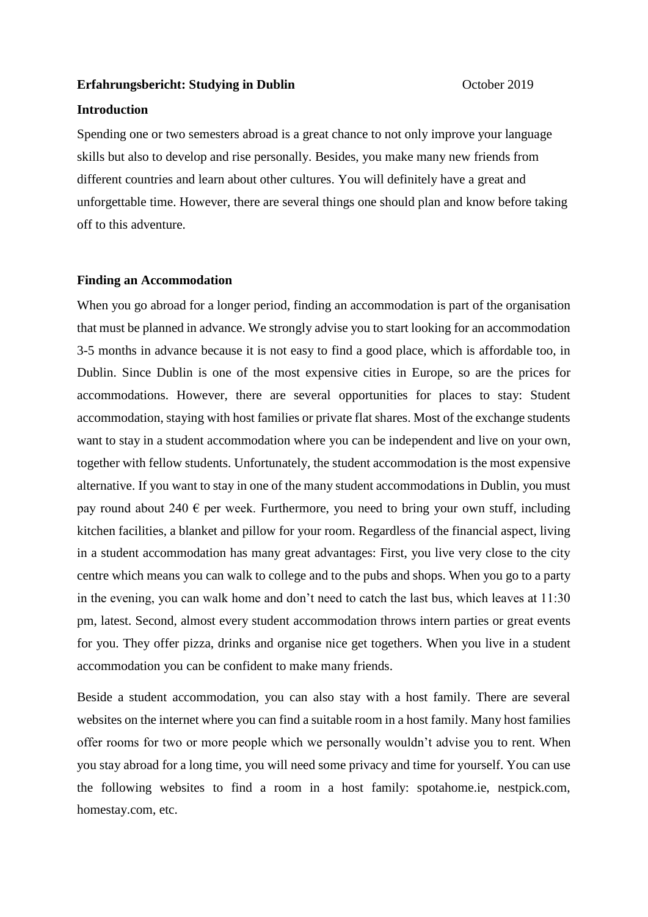#### **Erfahrungsbericht: Studying in Dublin October 2019**

# **Introduction**

Spending one or two semesters abroad is a great chance to not only improve your language skills but also to develop and rise personally. Besides, you make many new friends from different countries and learn about other cultures. You will definitely have a great and unforgettable time. However, there are several things one should plan and know before taking off to this adventure.

## **Finding an Accommodation**

When you go abroad for a longer period, finding an accommodation is part of the organisation that must be planned in advance. We strongly advise you to start looking for an accommodation 3-5 months in advance because it is not easy to find a good place, which is affordable too, in Dublin. Since Dublin is one of the most expensive cities in Europe, so are the prices for accommodations. However, there are several opportunities for places to stay: Student accommodation, staying with host families or private flat shares. Most of the exchange students want to stay in a student accommodation where you can be independent and live on your own, together with fellow students. Unfortunately, the student accommodation is the most expensive alternative. If you want to stay in one of the many student accommodations in Dublin, you must pay round about 240  $\epsilon$  per week. Furthermore, you need to bring your own stuff, including kitchen facilities, a blanket and pillow for your room. Regardless of the financial aspect, living in a student accommodation has many great advantages: First, you live very close to the city centre which means you can walk to college and to the pubs and shops. When you go to a party in the evening, you can walk home and don't need to catch the last bus, which leaves at 11:30 pm, latest. Second, almost every student accommodation throws intern parties or great events for you. They offer pizza, drinks and organise nice get togethers. When you live in a student accommodation you can be confident to make many friends.

Beside a student accommodation, you can also stay with a host family. There are several websites on the internet where you can find a suitable room in a host family. Many host families offer rooms for two or more people which we personally wouldn't advise you to rent. When you stay abroad for a long time, you will need some privacy and time for yourself. You can use the following websites to find a room in a host family: spotahome.ie, nestpick.com, homestay.com, etc.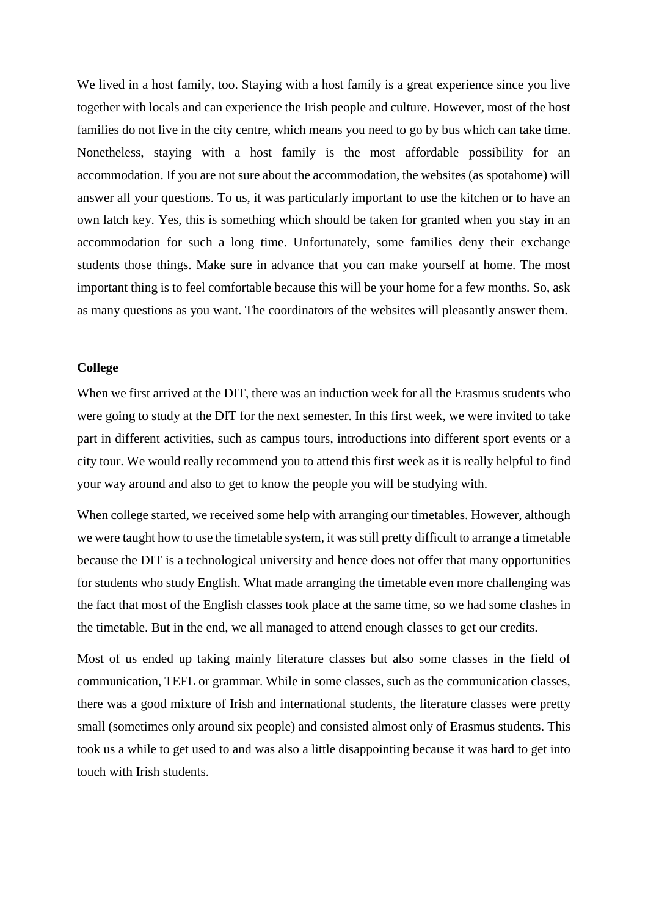We lived in a host family, too. Staying with a host family is a great experience since you live together with locals and can experience the Irish people and culture. However, most of the host families do not live in the city centre, which means you need to go by bus which can take time. Nonetheless, staying with a host family is the most affordable possibility for an accommodation. If you are not sure about the accommodation, the websites (as spotahome) will answer all your questions. To us, it was particularly important to use the kitchen or to have an own latch key. Yes, this is something which should be taken for granted when you stay in an accommodation for such a long time. Unfortunately, some families deny their exchange students those things. Make sure in advance that you can make yourself at home. The most important thing is to feel comfortable because this will be your home for a few months. So, ask as many questions as you want. The coordinators of the websites will pleasantly answer them.

## **College**

When we first arrived at the DIT, there was an induction week for all the Erasmus students who were going to study at the DIT for the next semester. In this first week, we were invited to take part in different activities, such as campus tours, introductions into different sport events or a city tour. We would really recommend you to attend this first week as it is really helpful to find your way around and also to get to know the people you will be studying with.

When college started, we received some help with arranging our timetables. However, although we were taught how to use the timetable system, it was still pretty difficult to arrange a timetable because the DIT is a technological university and hence does not offer that many opportunities for students who study English. What made arranging the timetable even more challenging was the fact that most of the English classes took place at the same time, so we had some clashes in the timetable. But in the end, we all managed to attend enough classes to get our credits.

Most of us ended up taking mainly literature classes but also some classes in the field of communication, TEFL or grammar. While in some classes, such as the communication classes, there was a good mixture of Irish and international students, the literature classes were pretty small (sometimes only around six people) and consisted almost only of Erasmus students. This took us a while to get used to and was also a little disappointing because it was hard to get into touch with Irish students.